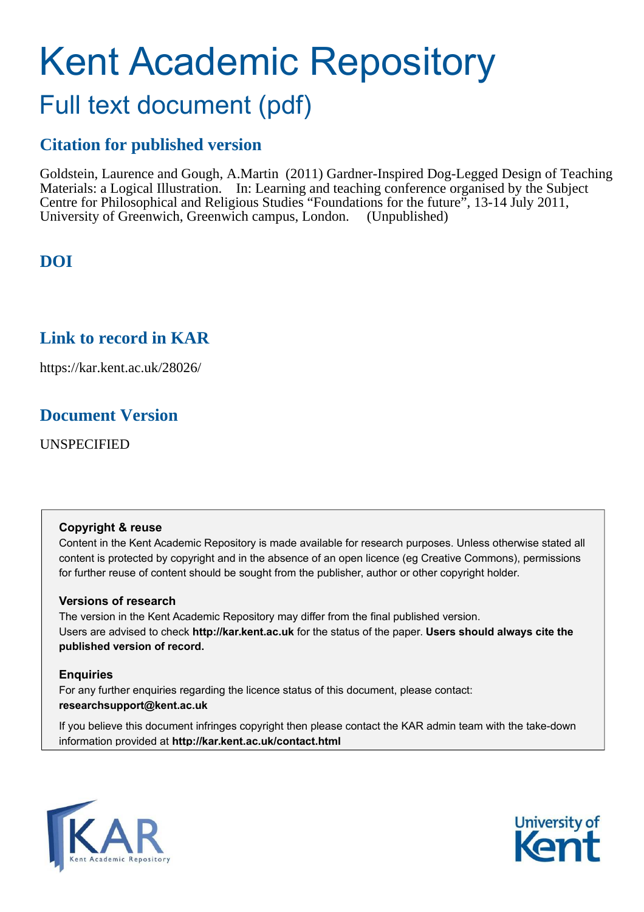# Kent Academic Repository

### Full text document (pdf)

#### **Citation for published version**

Goldstein, Laurence and Gough, A.Martin (2011) Gardner-Inspired Dog-Legged Design of Teaching Materials: a Logical Illustration. In: Learning and teaching conference organised by the Subject Centre for Philosophical and Religious Studies "Foundations for the future", 13-14 July 2011, University of Greenwich, Greenwich campus, London. (Unpublished)

#### **DOI**

#### **Link to record in KAR**

https://kar.kent.ac.uk/28026/

#### **Document Version**

UNSPECIFIED

#### **Copyright & reuse**

Content in the Kent Academic Repository is made available for research purposes. Unless otherwise stated all content is protected by copyright and in the absence of an open licence (eg Creative Commons), permissions for further reuse of content should be sought from the publisher, author or other copyright holder.

#### **Versions of research**

The version in the Kent Academic Repository may differ from the final published version. Users are advised to check **http://kar.kent.ac.uk** for the status of the paper. **Users should always cite the published version of record.**

#### **Enquiries**

For any further enquiries regarding the licence status of this document, please contact: **researchsupport@kent.ac.uk**

If you believe this document infringes copyright then please contact the KAR admin team with the take-down information provided at **http://kar.kent.ac.uk/contact.html**



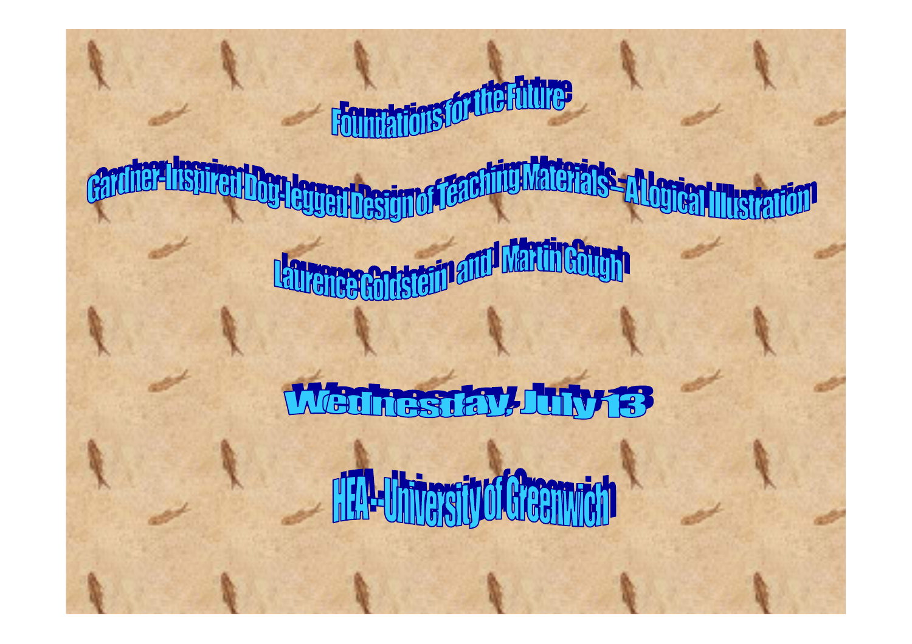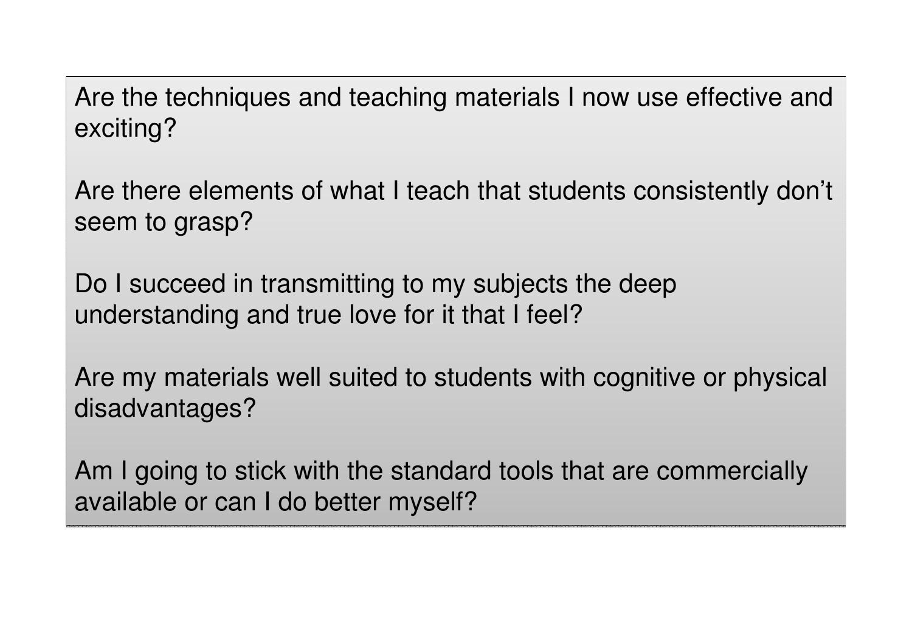Are the techniques and teaching materials I now use effective and Are the techniques and teaching materials I now use effective and exciting? exciting?

Are there elements of what I teach that students consistently don't Are there elements of what I teach that students consistently don't seem to grasp? seem to grasp?

Do I succeed in transmitting to my subjects the deep Do I succeed in transmitting to my subjects the deep understanding and true love for it that I feel? understanding and true love for it that I feel?

Are my materials well suited to students with cognitive or physical Are my materials well suited to students with cognitive or physical disadvantages? disadvantages?

Am I going to stick with the standard tools that are commercially Am I going to stick with the standard tools that are commercially available or can I do better myself? available or can I do better myself?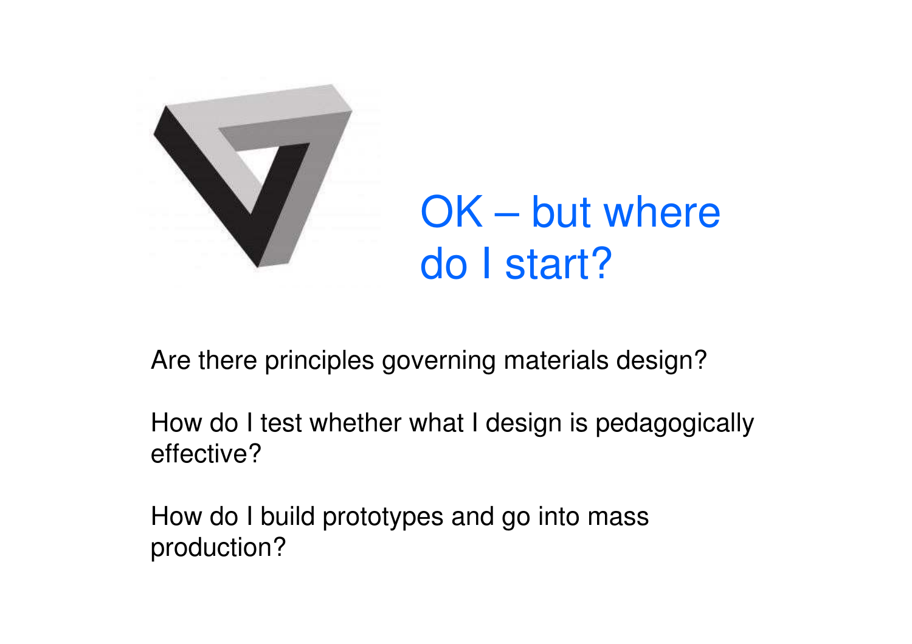

OK – but where do I start?

Are there principles governing materials design?

How do I test whether what I design is pedagogically effective?

How do I build prototypes and go into mass production?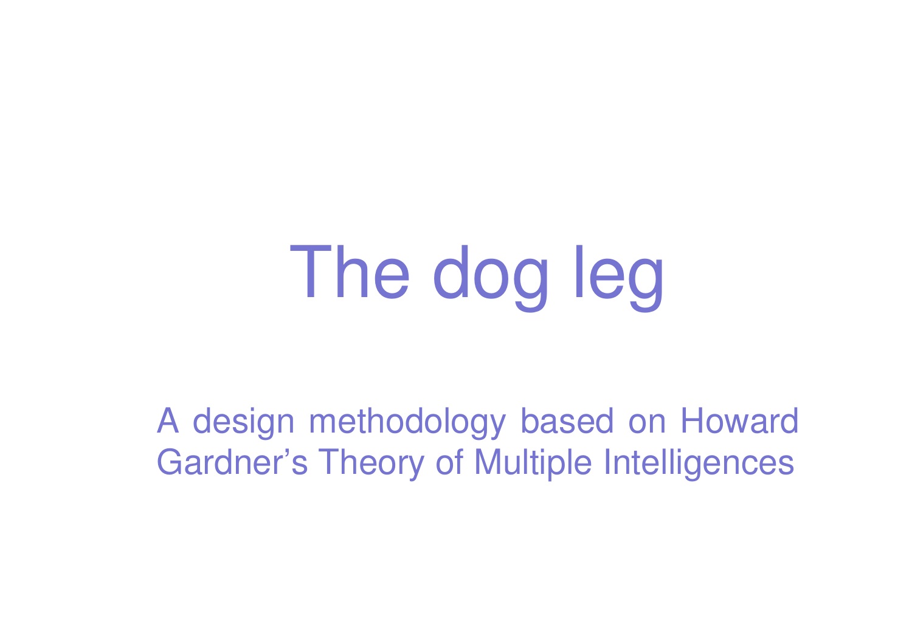# The dog leg

A design methodology based on Howard Gardner's Theory of Multiple Intelligences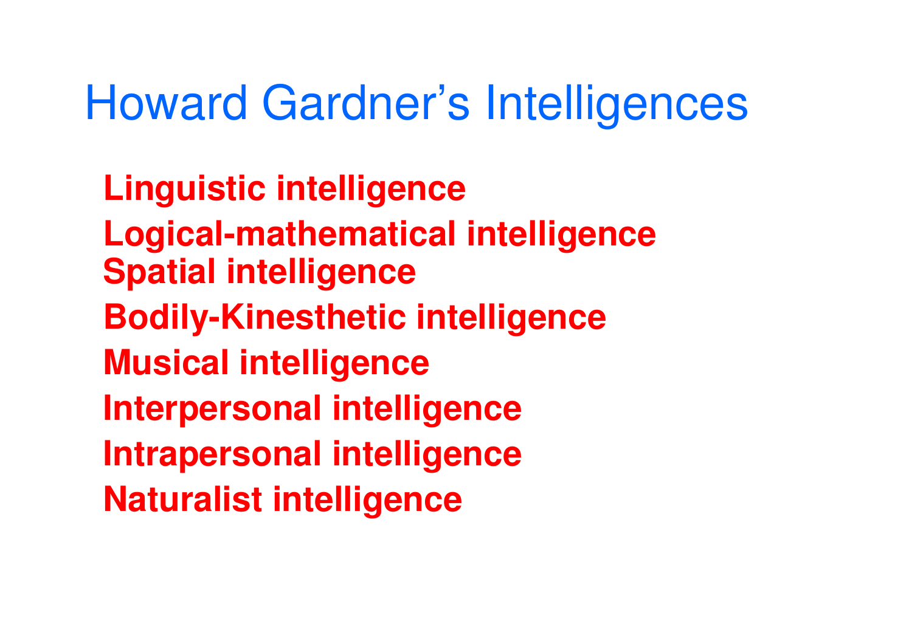# Howard Gardner's Intelligences

**Linguistic intelligence Logical-mathematical intelligence Spatial intelligence Bodily-Kinesthetic intelligence Musical intelligence Interpersonal intelligence Intrapersonal intelligence Naturalist intelligence**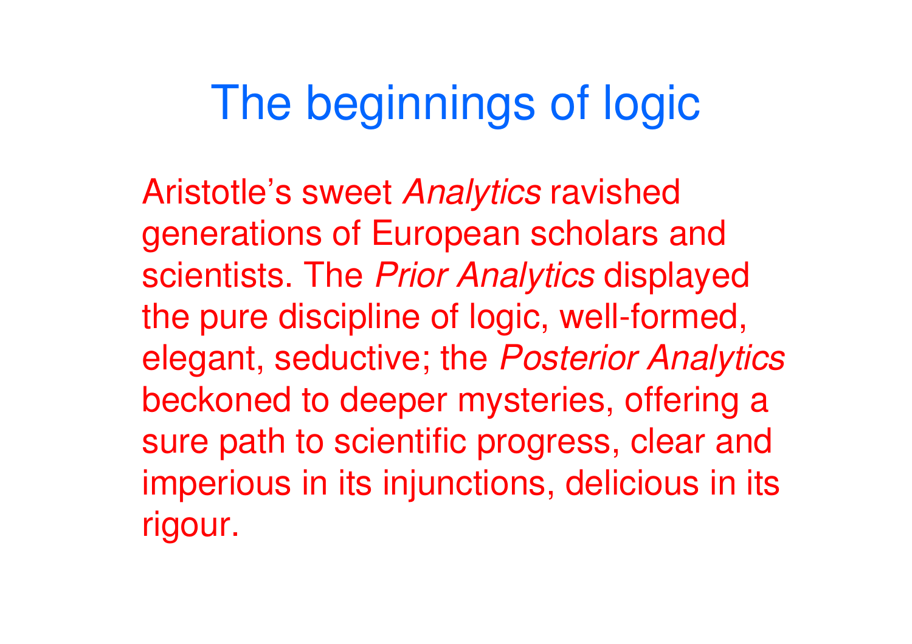# The beginnings of logic

Aristotle's sweet Analytics ravished generations of European scholars and scientists. The Prior Analytics displayed the pure discipline of logic, well-formed, elegant, seductive; the Posterior Analytics beckoned to deeper mysteries, offering a sure path to scientific progress, clear and imperious in its injunctions, delicious in its rigour.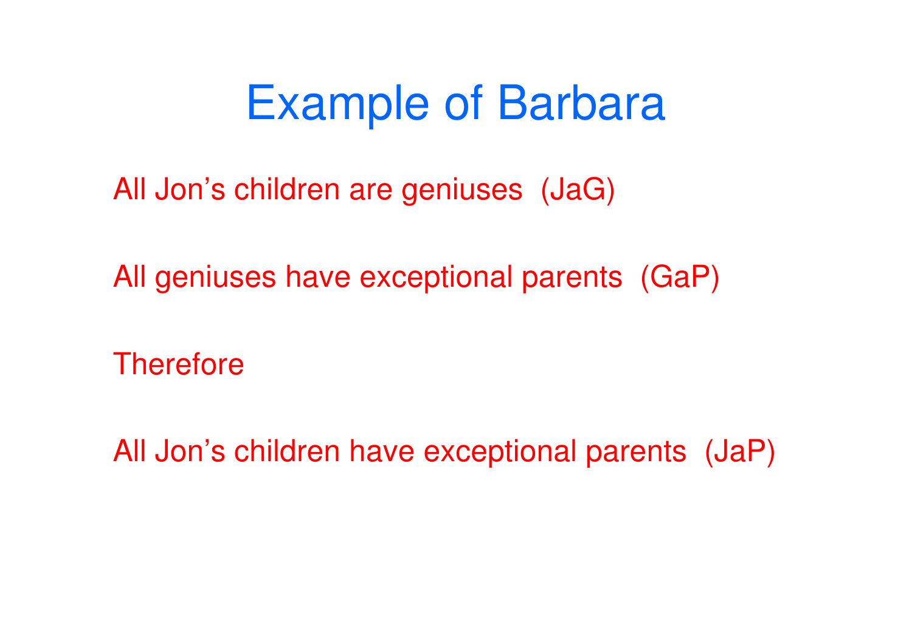# Example of Barbara

All Jon's children are geniuses (JaG)

All geniuses have exceptional parents (GaP)

**Therefore** 

All Jon's children have exceptional parents (JaP)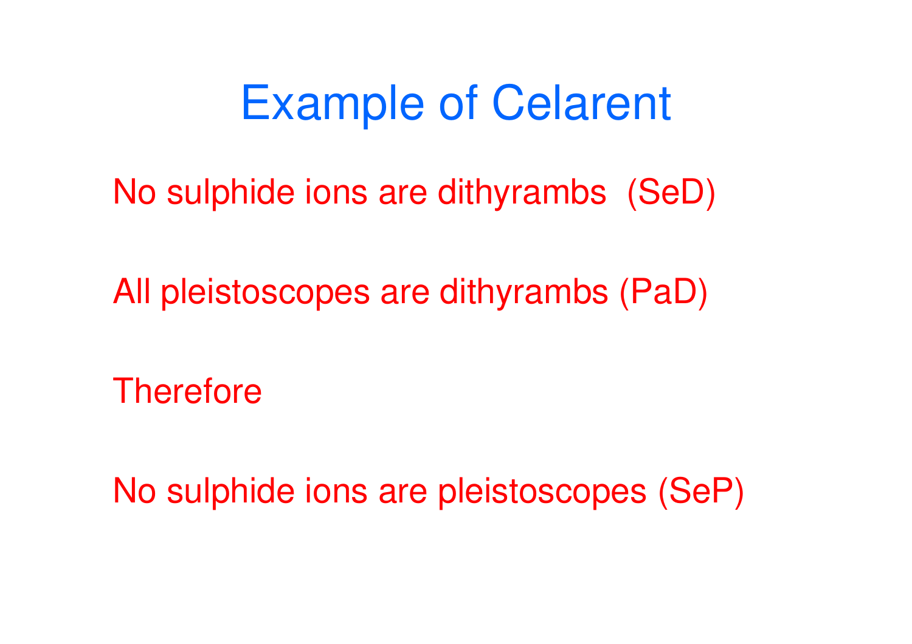Example of Celarent

No sulphide ions are dithyrambs (SeD)

All pleistoscopes are dithyrambs (PaD)

**Therefore** 

No sulphide ions are pleistoscopes (SeP)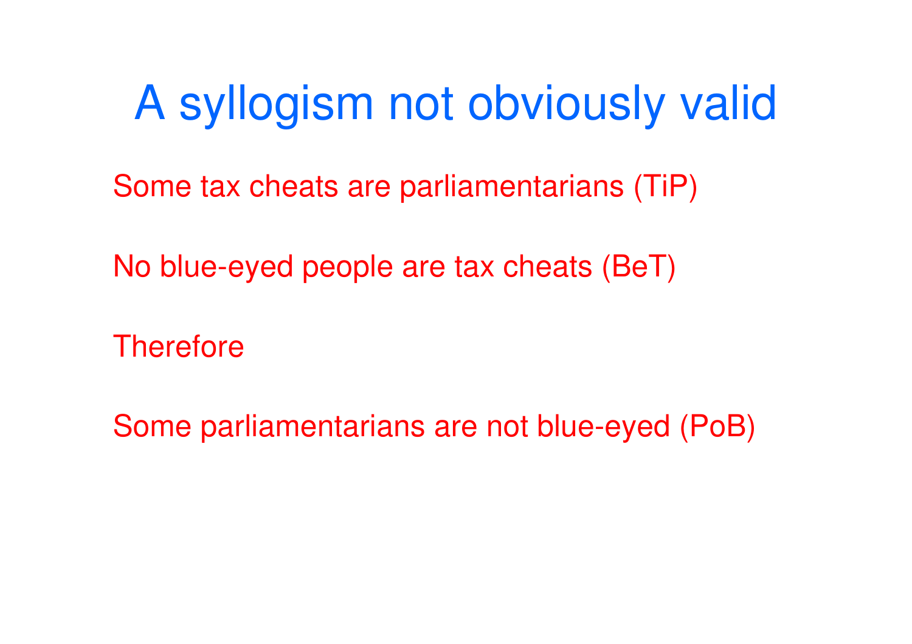# A syllogism not obviously valid

Some tax cheats are parliamentarians (TiP)

No blue-eyed people are tax cheats (BeT)

**Therefore** 

Some parliamentarians are not blue-eyed (PoB)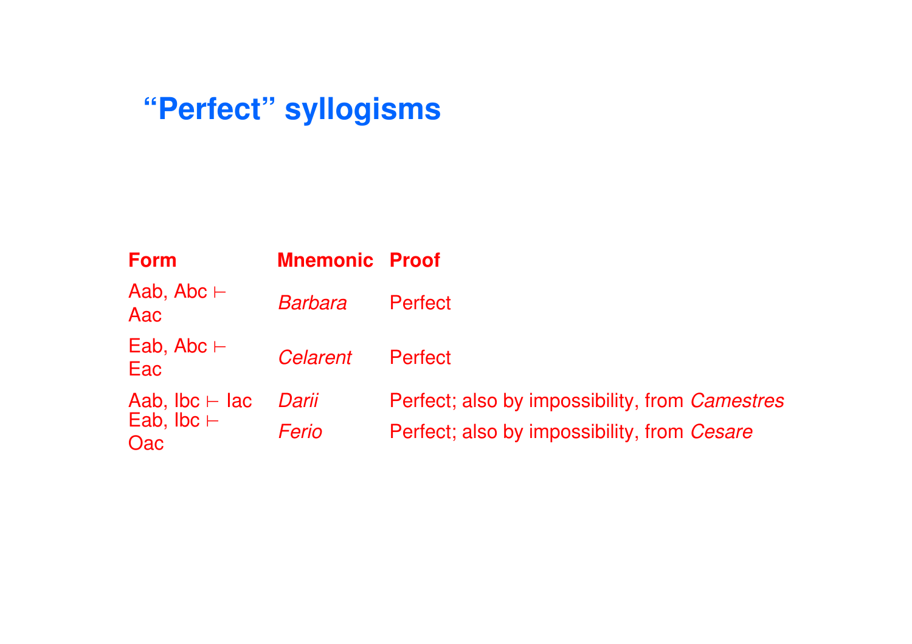## **"Perfect" syllogisms**

| <b>Form</b>                                       | <b>Mnemonic Proof</b> |                                                       |
|---------------------------------------------------|-----------------------|-------------------------------------------------------|
| Aab, Abc $\vdash$<br>Aac                          | <b>Barbara</b>        | Perfect                                               |
| Eab, Abc $\vdash$<br>Eac                          | Celarent              | Perfect                                               |
| Aab, $Ibc \vdash Iac$<br>Eab, $Ibc \vdash$<br>Oac | Darii                 | Perfect; also by impossibility, from <i>Camestres</i> |
|                                                   | Ferio                 | Perfect; also by impossibility, from Cesare           |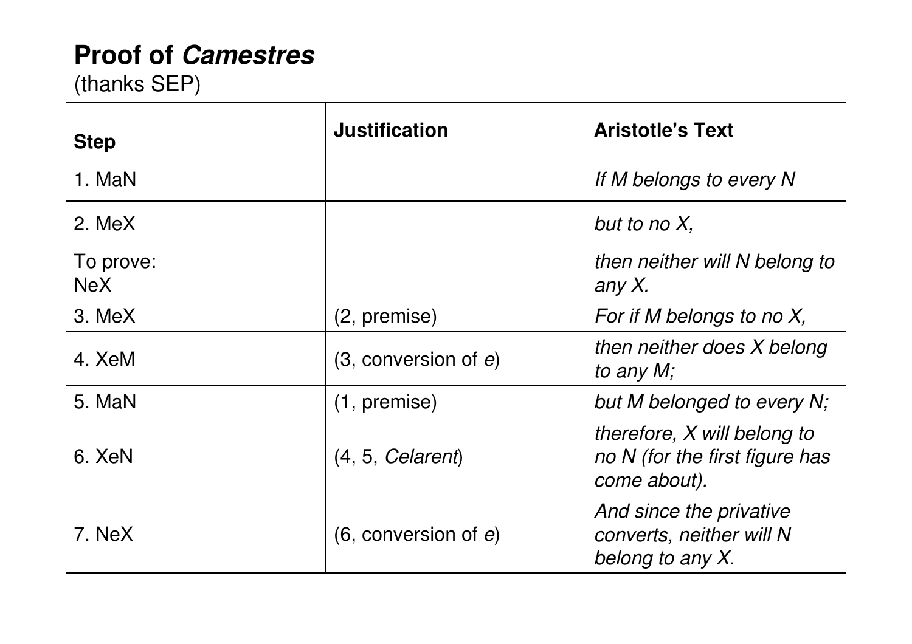#### **Proof of Camestres**

(thanks SEP)

| <b>Step</b>      | <b>Justification</b>      | <b>Aristotle's Text</b>                                                       |
|------------------|---------------------------|-------------------------------------------------------------------------------|
| 1. MaN           |                           | If M belongs to every N                                                       |
| 2. MeX           |                           | but to no $X$ ,                                                               |
| To prove:<br>NeX |                           | then neither will N belong to<br>any X.                                       |
| 3. MeX           | $(2,$ premise)            | For if M belongs to no $X$ ,                                                  |
| 4. XeM           | $(3,$ conversion of $e$ ) | then neither does X belong<br>to any M;                                       |
| 5. MaN           | $(1,$ premise)            | but M belonged to every N;                                                    |
| 6. XeN           | (4, 5, <i>Calendar</i> )  | therefore, X will belong to<br>no N (for the first figure has<br>come about). |
| 7. NeX           | $(6,$ conversion of $e$ ) | And since the privative<br>converts, neither will N<br>belong to any X.       |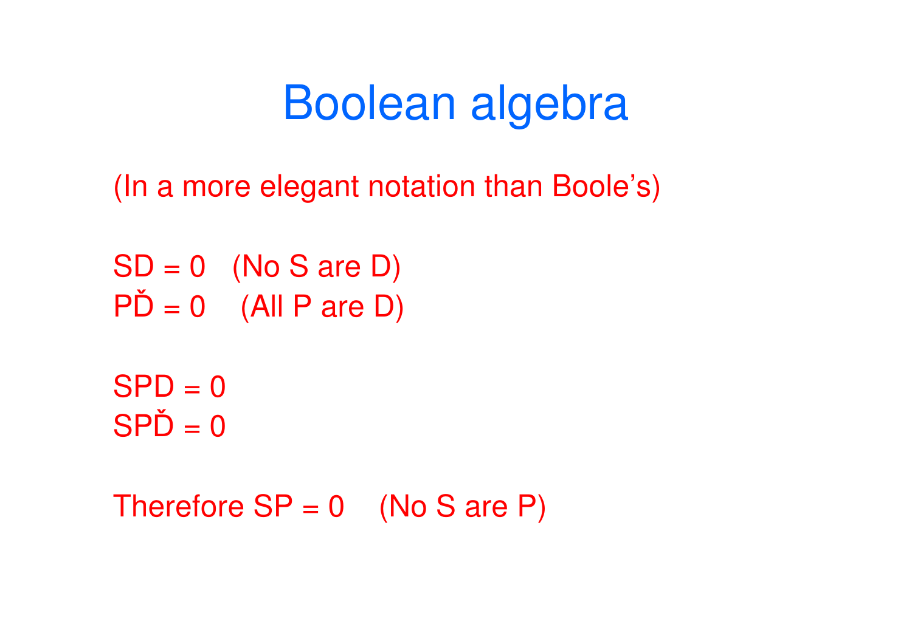# Boolean algebra

(In a more elegant notation than Boole's)

 $SD = 0$  (No S are D)  $P\check{D} = 0$  (All P are D)

 $SPD = 0$  $SP\check{D} = 0$ 

Therefore  $SP = 0$  (No S are P)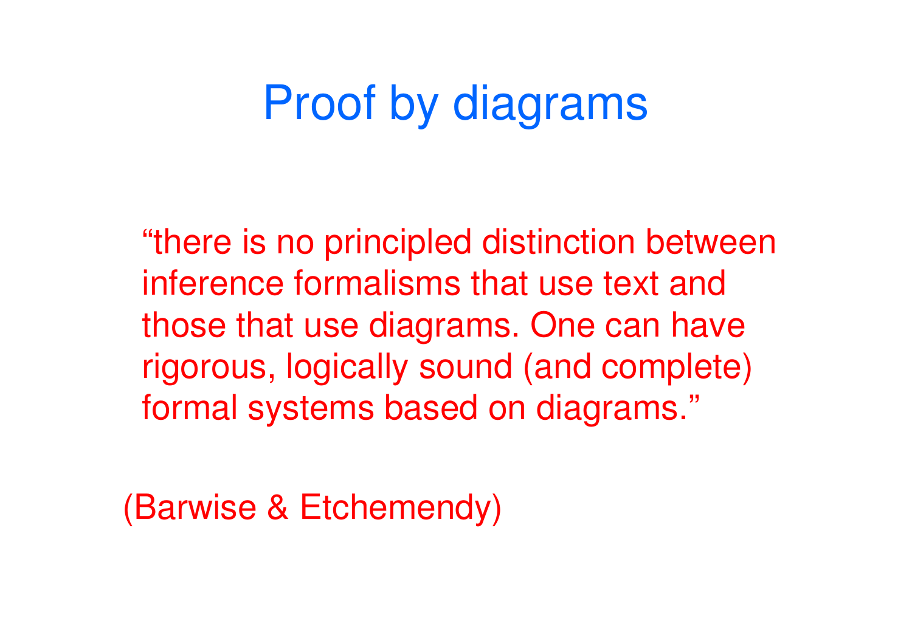# Proof by diagrams

"there is no principled distinction between inference formalisms that use text and those that use diagrams. One can have rigorous, logically sound (and complete) formal systems based on diagrams."

(Barwise & Etchemendy)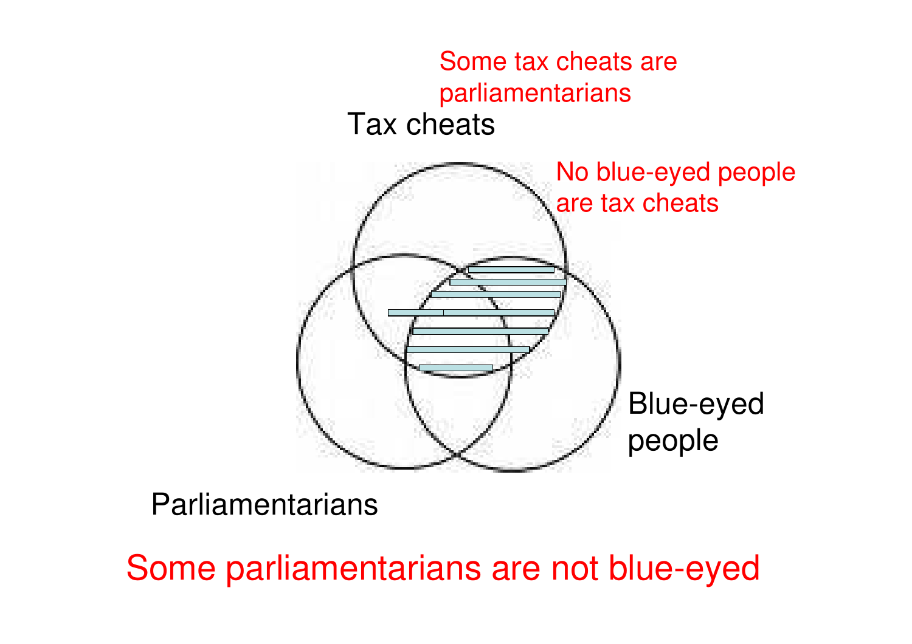

**Parliamentarians** 

Some parliamentarians are not blue-eyed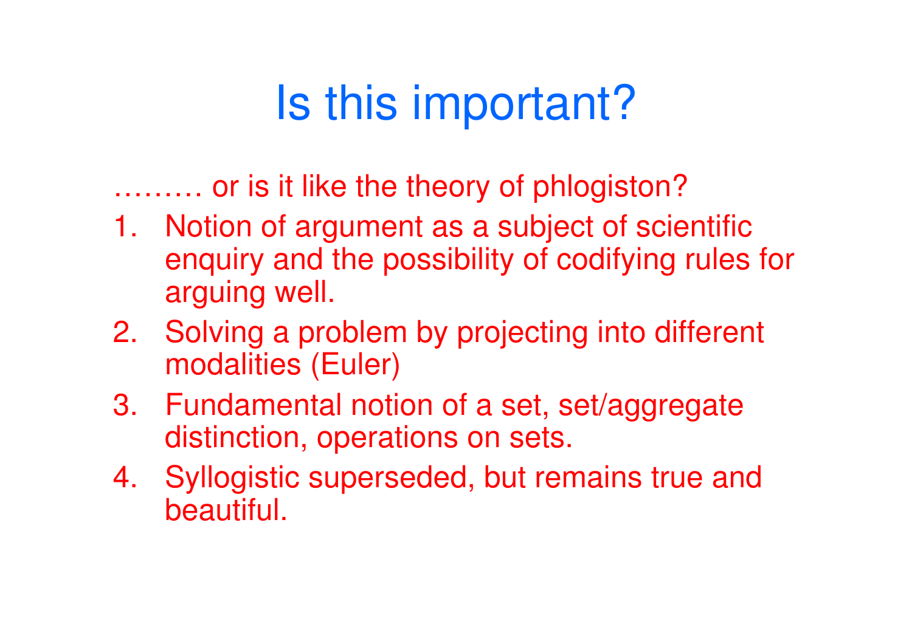# Is this important?

……… or is it like the theory of phlogiston?

- 1. Notion of argument as a subject of scientific enquiry and the possibility of codifying rules for arguing well.
- 2. Solving a problem by projecting into different modalities (Euler)
- 3. Fundamental notion of a set, set/aggregate distinction, operations on sets.
- 4. Syllogistic superseded, but remains true and beautiful.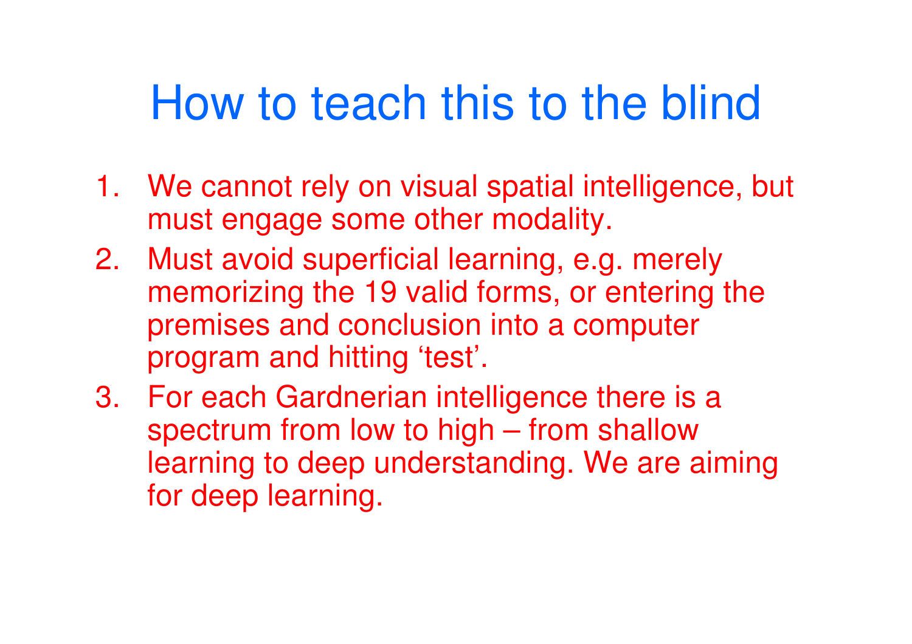# How to teach this to the blind

- 1. We cannot rely on visual spatial intelligence, but must engage some other modality.
- 2. Must avoid superficial learning, e.g. merely memorizing the 19 valid forms, or entering the premises and conclusion into a computer program and hitting 'test'.
- 3. For each Gardnerian intelligence there is a spectrum from low to high – from shallow learning to deep understanding. We are aiming for deep learning.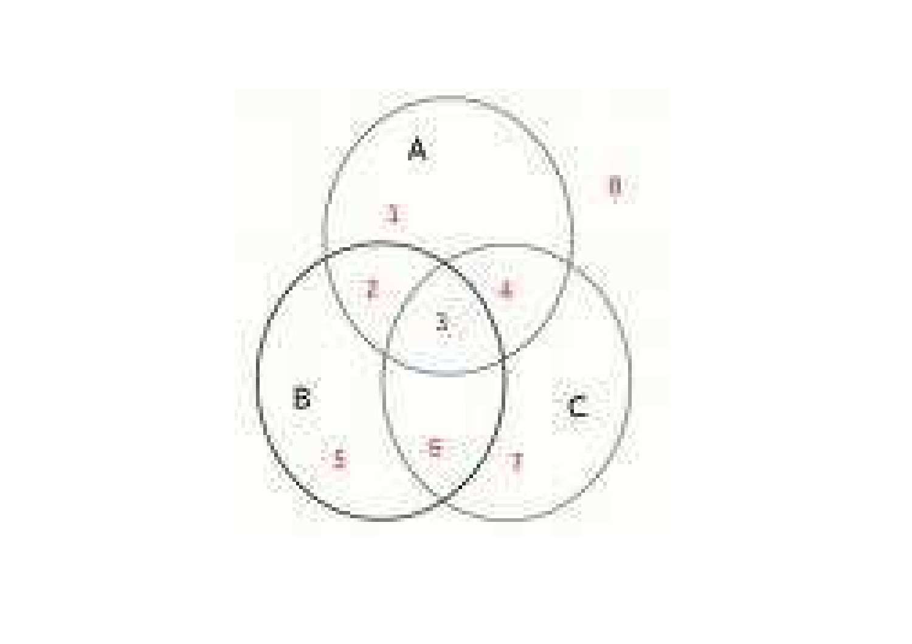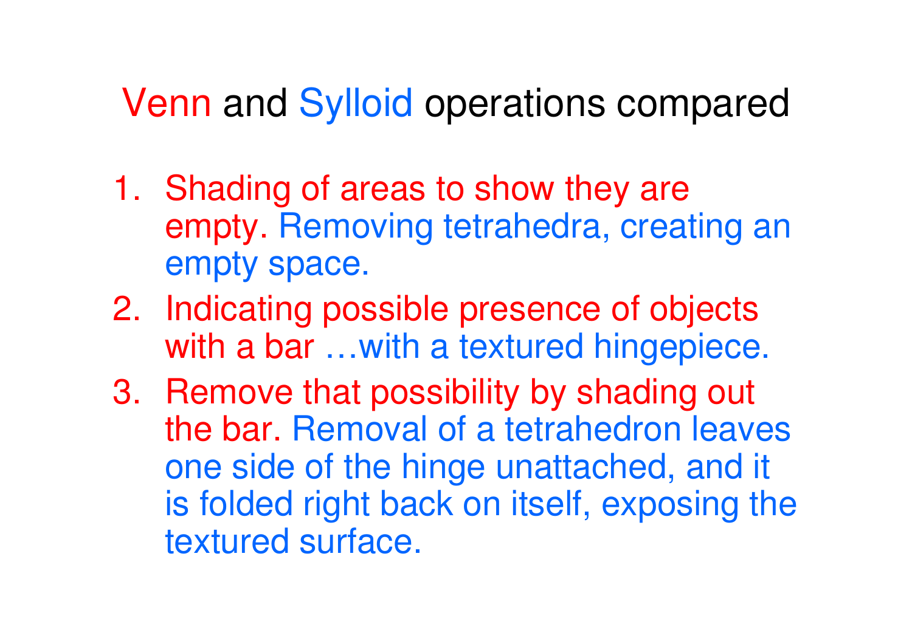## Venn and Sylloid operations compared

- 1. Shading of areas to show they are empty. Removing tetrahedra, creating an empty space.
- 2. Indicating possible presence of objects with a bar ... with a textured hingepiece.
- 3. Remove that possibility by shading out the bar. Removal of a tetrahedron leaves one side of the hinge unattached, and it is folded right back on itself, exposing the textured surface.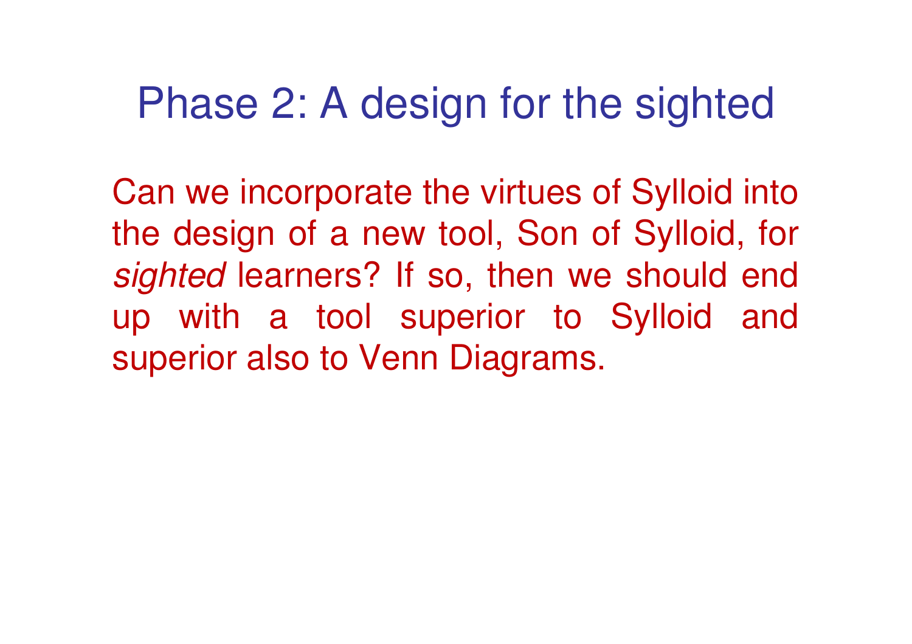## Phase 2: A design for the sighted

Can we incorporate the virtues of Sylloid into the design of a new tool, Son of Sylloid, for sighted learners? If so, then we should end up with a tool superior to Sylloid and superior also to Venn Diagrams.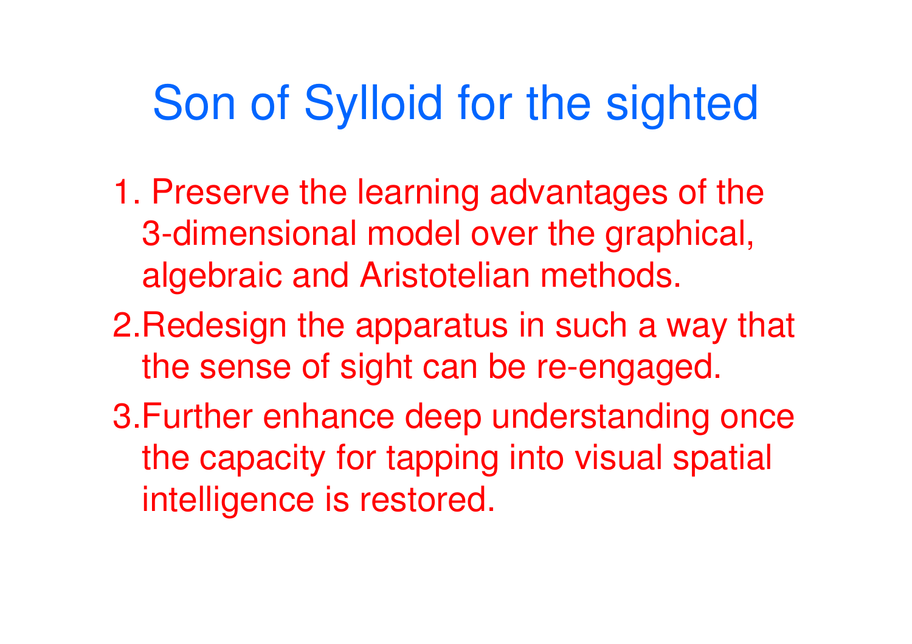# Son of Sylloid for the sighted

- 1. Preserve the learning advantages of the 3-dimensional model over the graphical, algebraic and Aristotelian methods.
- 2.Redesign the apparatus in such a way that the sense of sight can be re-engaged.
- 3.Further enhance deep understanding once the capacity for tapping into visual spatial intelligence is restored.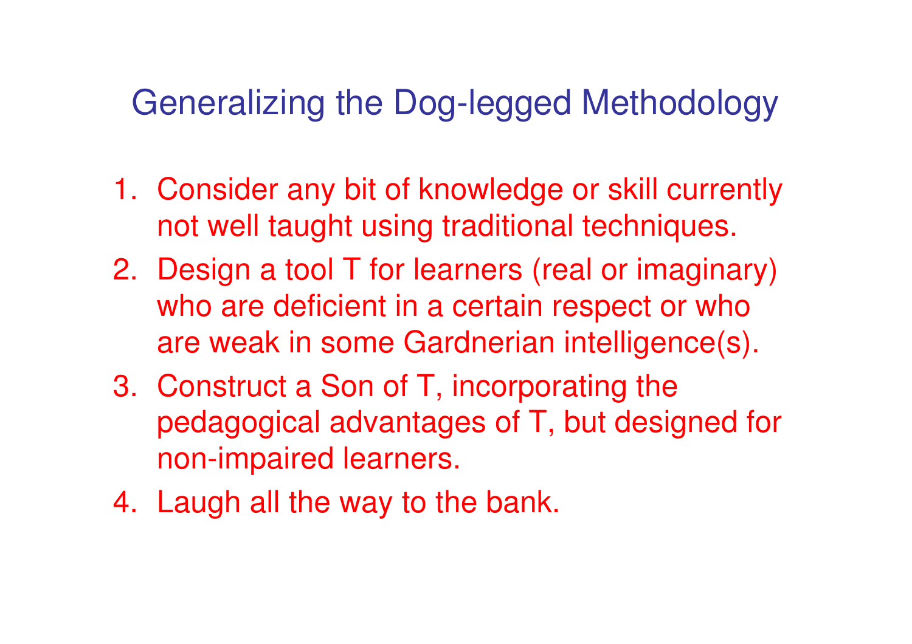## Generalizing the Dog-legged Methodology

- 1. Consider any bit of knowledge or skill currently not well taught using traditional techniques.
- 2. Design a tool T for learners (real or imaginary) who are deficient in a certain respect or who are weak in some Gardnerian intelligence(s).
- 3. Construct a Son of T, incorporating the pedagogical advantages of T, but designed for non-impaired learners.
- 4. Laugh all the way to the bank.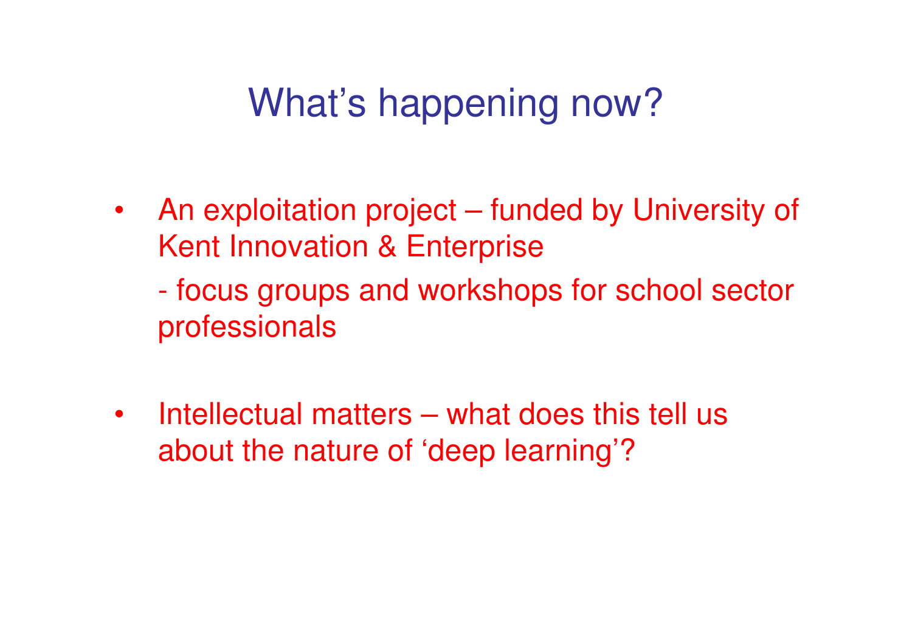## What's happening now?

• An exploitation project – funded by University of Kent Innovation & Enterprise

- focus groups and workshops for school sector professionals

• Intellectual matters – what does this tell us about the nature of 'deep learning'?